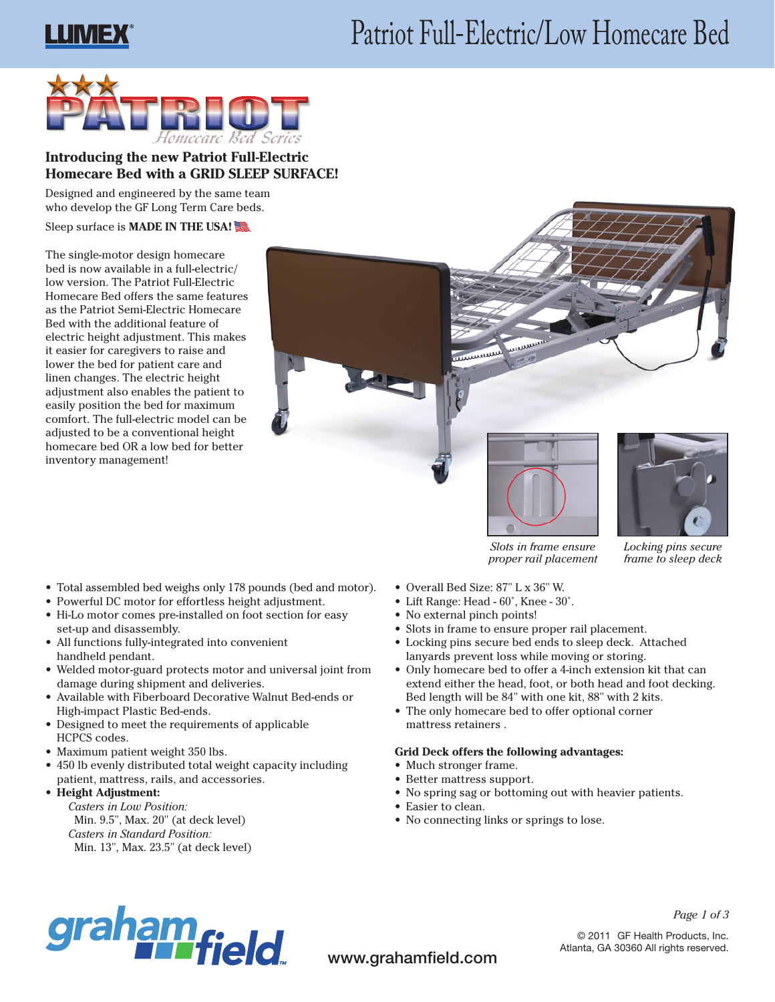# Patriot Full-Electric/Low Homecare Bed





# **Introducing the new Patriot Full-Electric Homecare Bed with a GRID SLEEP SURFACE!**

Designed and engineered by the same team who develop the GF Long Term Care beds.

Sleep surface is **MADE IN THE USA!**

The single-motor design homecare bed is now available in a full-electric/ low version. The Patriot Full-Electric Homecare Bed offers the same features as the Patriot Semi-Electric Homecare Bed with the additional feature of electric height adjustment. This makes it easier for caregivers to raise and lower the bed for patient care and linen changes. The electric height adjustment also enables the patient to easily position the bed for maximum comfort. The full-electric model can be adjusted to be a conventional height homecare bed OR a low bed for better inventory management!

- Total assembled bed weighs only 178 pounds (bed and motor).
- Powerful DC motor for effortless height adjustment.
- Hi-Lo motor comes pre-installed on foot section for easy set-up and disassembly.
- • All functions fully-integrated into convenient handheld pendant.
- Welded motor-guard protects motor and universal joint from damage during shipment and deliveries.
- • Available with Fiberboard Decorative Walnut Bed-ends or High-impact Plastic Bed-ends.
- • Designed to meet the requirements of applicable HCPCS codes.
- Maximum patient weight 350 lbs.
- 450 lb evenly distributed total weight capacity including patient, mattress, rails, and accessories.

# • **Height Adjustment:**

*Casters in Low Position:* Min. 9.5", Max. 20" (at deck level) *Casters in Standard Position:* Min. 13", Max. 23.5" (at deck level)



بسسس

ummmm



*frame to sleep deck*

*Slots in frame ensure proper rail placement*

- • Overall Bed Size: 87" L x 36" W.
- Lift Range: Head 60°, Knee 30°.
- No external pinch points!
- Slots in frame to ensure proper rail placement.
- • Locking pins secure bed ends to sleep deck. Attached lanyards prevent loss while moving or storing.
- Only homecare bed to offer a 4-inch extension kit that can extend either the head, foot, or both head and foot decking. Bed length will be 84" with one kit, 88" with 2 kits.
- The only homecare bed to offer optional corner mattress retainers .

# **Grid Deck offers the following advantages:**

- Much stronger frame.
- Better mattress support.
- • No spring sag or bottoming out with heavier patients.
- Easier to clean.
- No connecting links or springs to lose.



www.grahamfield.com

*Page 1 of 3*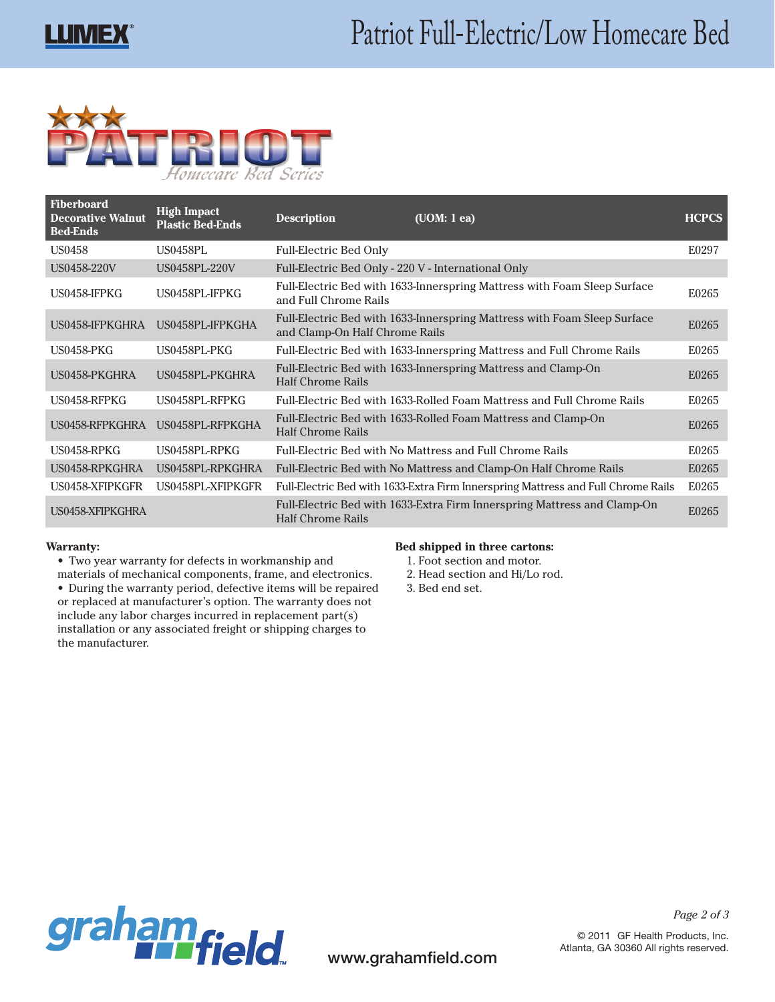

| <b>Fiberboard</b><br><b>Decorative Walnut</b><br><b>Bed-Ends</b> | <b>High Impact</b><br><b>Plastic Bed-Ends</b> | <b>Description</b>                                  | (UOM: 1 ea)                                                                       | <b>HCPCS</b> |
|------------------------------------------------------------------|-----------------------------------------------|-----------------------------------------------------|-----------------------------------------------------------------------------------|--------------|
| US0458                                                           | US0458PL                                      | <b>Full-Electric Bed Only</b>                       |                                                                                   | E0297        |
| US0458-220V                                                      | US0458PL-220V                                 | Full-Electric Bed Only - 220 V - International Only |                                                                                   |              |
| US0458-IFPKG                                                     | US0458PL-IFPKG                                | and Full Chrome Rails                               | Full-Electric Bed with 1633-Innerspring Mattress with Foam Sleep Surface          | E0265        |
| US0458-IFPKGHRA                                                  | US0458PL-IFPKGHA                              | and Clamp-On Half Chrome Rails                      | Full-Electric Bed with 1633-Innerspring Mattress with Foam Sleep Surface          | E0265        |
| <b>US0458-PKG</b>                                                | US0458PL-PKG                                  |                                                     | Full-Electric Bed with 1633-Innerspring Mattress and Full Chrome Rails            | E0265        |
| US0458-PKGHRA                                                    | US0458PL-PKGHRA                               | <b>Half Chrome Rails</b>                            | Full-Electric Bed with 1633-Innerspring Mattress and Clamp-On                     | E0265        |
| US0458-RFPKG                                                     | US0458PL-RFPKG                                |                                                     | Full-Electric Bed with 1633-Rolled Foam Mattress and Full Chrome Rails            | E0265        |
| US0458-RFPKGHRA                                                  | US0458PL-RFPKGHA                              | <b>Half Chrome Rails</b>                            | Full-Electric Bed with 1633-Rolled Foam Mattress and Clamp-On                     | E0265        |
| US0458-RPKG                                                      | US0458PL-RPKG                                 |                                                     | Full-Electric Bed with No Mattress and Full Chrome Rails                          | E0265        |
| US0458-RPKGHRA                                                   | US0458PL-RPKGHRA                              |                                                     | Full-Electric Bed with No Mattress and Clamp-On Half Chrome Rails                 | E0265        |
| US0458-XFIPKGFR                                                  | US0458PL-XFIPKGFR                             |                                                     | Full-Electric Bed with 1633-Extra Firm Innerspring Mattress and Full Chrome Rails | E0265        |
| US0458-XFIPKGHRA                                                 |                                               | <b>Half Chrome Rails</b>                            | Full-Electric Bed with 1633-Extra Firm Innerspring Mattress and Clamp-On          | E0265        |

#### **Warranty:**

- • Two year warranty for defects in workmanship and
- materials of mechanical components, frame, and electronics.
- • During the warranty period, defective items will be repaired or replaced at manufacturer's option. The warranty does not include any labor charges incurred in replacement part(s) installation or any associated freight or shipping charges to the manufacturer.

### **Bed shipped in three cartons:**

- 1. Foot section and motor.
- 2. Head section and Hi/Lo rod.
- 3. Bed end set.



© 2011 GF Health Products, Inc. Atlanta, GA 30360 All rights reserved.

*Page 2 of 3*